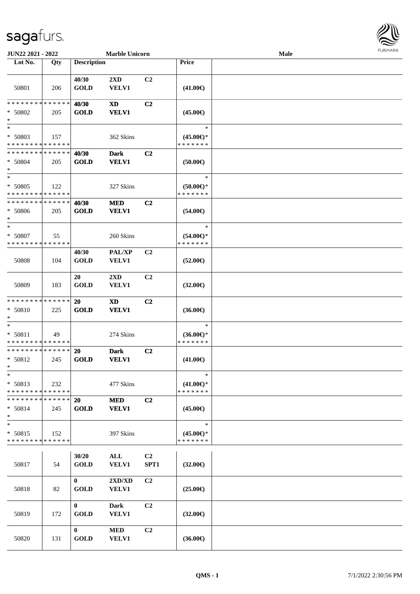## sagafurs.



| JUN22 2021 - 2022                                  |                    |                             | <b>Marble Unicorn</b>            |                        |                                                | Male | <b>FUNITANN</b> |
|----------------------------------------------------|--------------------|-----------------------------|----------------------------------|------------------------|------------------------------------------------|------|-----------------|
| Lot No.                                            | Qty                | <b>Description</b>          |                                  |                        | <b>Price</b>                                   |      |                 |
| 50801                                              | 206                | 40/30<br><b>GOLD</b>        | $2\mathbf{X}\mathbf{D}$<br>VELV1 | C <sub>2</sub>         | $(41.00\epsilon)$                              |      |                 |
| * * * * * * * * * * * * * *<br>* 50802<br>$\ast$   | 205                | 40/30<br><b>GOLD</b>        | <b>XD</b><br><b>VELV1</b>        | C <sub>2</sub>         | $(45.00\epsilon)$                              |      |                 |
| $\ast$<br>* 50803<br>* * * * * * * * * * * * * *   | 157                |                             | 362 Skins                        |                        | $\ast$<br>$(45.00\epsilon)$ *<br>* * * * * * * |      |                 |
| * * * * * * * * * * * * * *<br>* 50804<br>$\ast$   | 205                | 40/30<br><b>GOLD</b>        | <b>Dark</b><br><b>VELV1</b>      | C <sub>2</sub>         | $(50.00\in)$                                   |      |                 |
| $*$<br>* 50805<br>* * * * * * * * * * * * * *      | 122                |                             | 327 Skins                        |                        | $\ast$<br>$(50.00 \in )$ *<br>* * * * * * *    |      |                 |
| * * * * * * * * * * * * * *<br>* 50806<br>$*$      | 205                | 40/30<br><b>GOLD</b>        | <b>MED</b><br><b>VELV1</b>       | C <sub>2</sub>         | $(54.00\epsilon)$                              |      |                 |
| $*$<br>* 50807<br>* * * * * * * * * * * * * *      | 55                 |                             | 260 Skins                        |                        | $\ast$<br>$(54.00\epsilon)$ *<br>* * * * * * * |      |                 |
| 50808                                              | 104                | 40/30<br><b>GOLD</b>        | PAL/XP<br>VELV1                  | C <sub>2</sub>         | $(52.00\epsilon)$                              |      |                 |
| 50809                                              | 183                | 20<br><b>GOLD</b>           | $2\mathbf{X}\mathbf{D}$<br>VELV1 | C <sub>2</sub>         | $(32.00\epsilon)$                              |      |                 |
| * * * * * * * * * * * * * *<br>* 50810<br>$\ast$   | 225                | 20<br><b>GOLD</b>           | <b>XD</b><br><b>VELV1</b>        | C <sub>2</sub>         | $(36.00\in)$                                   |      |                 |
| $*$<br>* 50811<br>* * * * * * * * * * * * * *      | 49                 |                             | 274 Skins                        |                        | $\ast$<br>$(36.00\epsilon)$ *<br>* * * * * * * |      |                 |
| * * * * * * * * * * * * * *<br>* 50812<br>$*$ $-$  | 245                | 20<br><b>GOLD</b>           | <b>Dark</b><br><b>VELV1</b>      | C <sub>2</sub>         | $(41.00\epsilon)$                              |      |                 |
| $\ast$<br>* 50813<br>* * * * * * * * * * * * * *   | 232                |                             | 477 Skins                        |                        | $\ast$<br>$(41.00\epsilon)$ *<br>* * * * * * * |      |                 |
| * * * * * * * * * * * * * *<br>$* 50814$<br>$\ast$ | 245                | 20<br><b>GOLD</b>           | $\bf MED$<br><b>VELV1</b>        | C <sub>2</sub>         | $(45.00\epsilon)$                              |      |                 |
| $\ast$<br>* 50815<br>* * * * * * * *               | 152<br>* * * * * * |                             | 397 Skins                        |                        | $\ast$<br>$(45.00\epsilon)$ *<br>* * * * * * * |      |                 |
| 50817                                              | 54                 | 30/20<br><b>GOLD</b>        | ALL<br><b>VELV1</b>              | C <sub>2</sub><br>SPT1 | $(32.00\epsilon)$                              |      |                 |
| 50818                                              | 82                 | $\mathbf{0}$<br><b>GOLD</b> | 2XD/XD<br>VELV1                  | C2                     | $(25.00\epsilon)$                              |      |                 |
| 50819                                              | 172                | $\mathbf{0}$<br><b>GOLD</b> | <b>Dark</b><br><b>VELV1</b>      | C2                     | $(32.00\epsilon)$                              |      |                 |
| 50820                                              | 131                | $\bf{0}$<br><b>GOLD</b>     | <b>MED</b><br><b>VELV1</b>       | C <sub>2</sub>         | $(36.00\epsilon)$                              |      |                 |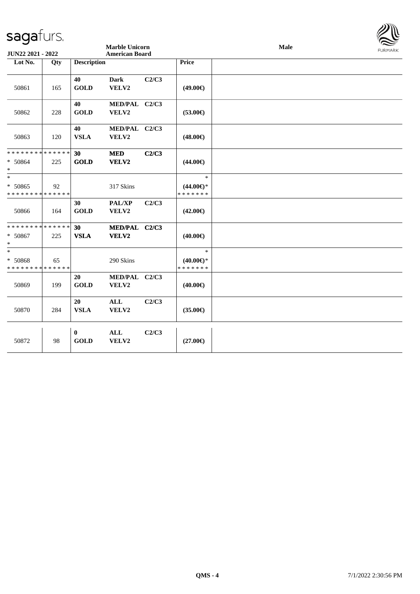|                                                              |     |                                |                                                |       |                                                |      | $\approx$      |
|--------------------------------------------------------------|-----|--------------------------------|------------------------------------------------|-------|------------------------------------------------|------|----------------|
| JUN22 2021 - 2022                                            |     |                                | <b>Marble Unicorn</b><br><b>American Board</b> |       |                                                | Male | <b>FURMARK</b> |
| Lot No.                                                      | Qty | <b>Description</b>             |                                                |       | Price                                          |      |                |
| 50861                                                        | 165 | 40<br><b>GOLD</b>              | <b>Dark</b><br>VELV2                           | C2/C3 | $(49.00\epsilon)$                              |      |                |
| 50862                                                        | 228 | 40<br><b>GOLD</b>              | MED/PAL C2/C3<br>VELV2                         |       | $(53.00\epsilon)$                              |      |                |
| 50863                                                        | 120 | 40<br><b>VSLA</b>              | MED/PAL C2/C3<br>VELV2                         |       | $(48.00\epsilon)$                              |      |                |
| * * * * * * * * * * * * * * *<br>$* 50864$<br>$*$            | 225 | 30 <sup>°</sup><br><b>GOLD</b> | <b>MED</b><br>VELV2                            | C2/C3 | $(44.00\epsilon)$                              |      |                |
| $\ast$<br>* 50865<br>* * * * * * * * * * * * * *             | 92  |                                | 317 Skins                                      |       | $\ast$<br>$(44.00\epsilon)$ *<br>* * * * * * * |      |                |
| 50866                                                        | 164 | 30<br><b>GOLD</b>              | <b>PAL/XP</b><br>VELV2                         | C2/C3 | $(42.00\epsilon)$                              |      |                |
| * * * * * * * * <mark>* * * * * * *</mark><br>* 50867<br>$*$ | 225 | 30<br><b>VSLA</b>              | MED/PAL C2/C3<br>VELV2                         |       | $(40.00\epsilon)$                              |      |                |
| $*$<br>* 50868<br>* * * * * * * * * * * * * *                | 65  |                                | 290 Skins                                      |       | $\ast$<br>$(40.00\epsilon)$ *<br>* * * * * * * |      |                |
| 50869                                                        | 199 | 20<br><b>GOLD</b>              | MED/PAL C2/C3<br>VELV2                         |       | $(40.00\epsilon)$                              |      |                |
| 50870                                                        | 284 | 20<br><b>VSLA</b>              | $\mathbf{ALL}$<br>VELV2                        | C2/C3 | $(35.00\epsilon)$                              |      |                |
| 50872                                                        | 98  | $\bf{0}$<br><b>GOLD</b>        | ALL<br>VELV2                                   | C2/C3 | $(27.00\epsilon)$                              |      |                |

 $\mathbb{Z} \mathbb{R}$